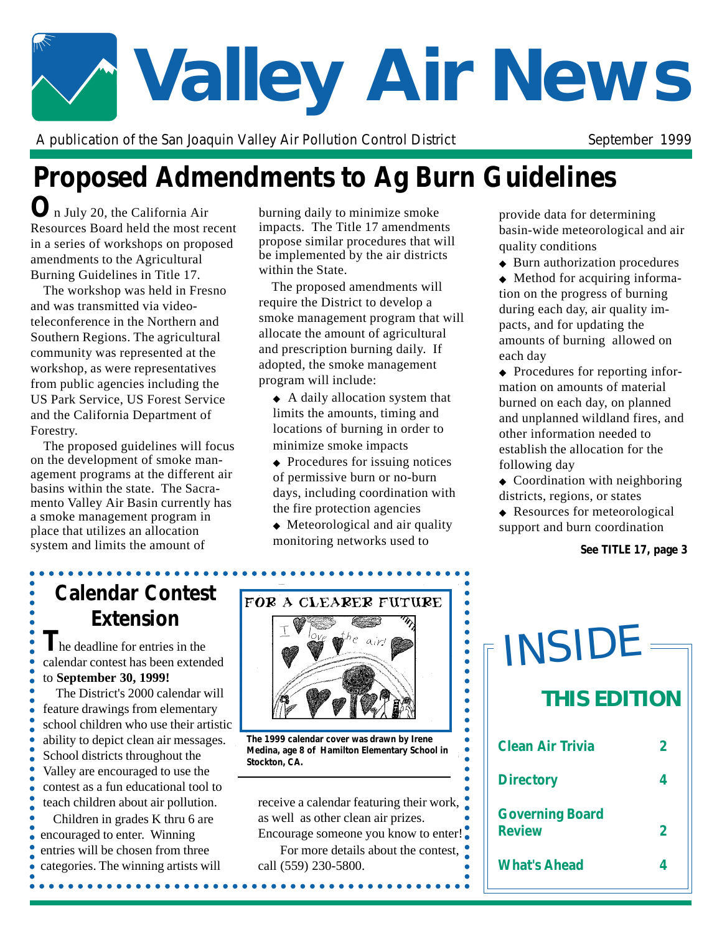# **Valley Air News**

A publication of the San Joaquin Valley Air Pollution Control District September 1999

# **Proposed Admendments to Ag Burn Guidelines**

**O**n July 20, the California Air Resources Board held the most recent in a series of workshops on proposed amendments to the Agricultural Burning Guidelines in Title 17.

The workshop was held in Fresno and was transmitted via videoteleconference in the Northern and Southern Regions. The agricultural community was represented at the workshop, as were representatives from public agencies including the US Park Service, US Forest Service and the California Department of Forestry.

The proposed guidelines will focus on the development of smoke management programs at the different air basins within the state. The Sacramento Valley Air Basin currently has a smoke management program in place that utilizes an allocation system and limits the amount of

burning daily to minimize smoke impacts. The Title 17 amendments propose similar procedures that will be implemented by the air districts within the State.

The proposed amendments will require the District to develop a smoke management program that will allocate the amount of agricultural and prescription burning daily. If adopted, the smoke management program will include:

- ◆ A daily allocation system that limits the amounts, timing and locations of burning in order to minimize smoke impacts
- ◆ Procedures for issuing notices of permissive burn or no-burn days, including coordination with the fire protection agencies
- ◆ Meteorological and air quality monitoring networks used to

 $\bullet$ 

...

 $\bullet$  $\bullet$  $\bullet$  $\bullet$  $\bullet$  $\bullet$  $\bullet$  $\bullet$  provide data for determining basin-wide meteorological and air quality conditions

◆ Burn authorization procedures

◆ Method for acquiring information on the progress of burning during each day, air quality impacts, and for updating the amounts of burning allowed on each day

- ◆ Procedures for reporting information on amounts of material burned on each day, on planned and unplanned wildland fires, and other information needed to establish the allocation for the following day
- ◆ Coordination with neighboring districts, regions, or states

◆ Resources for meteorological support and burn coordination

*See TITLE 17, page 3*

## **Calendar Contest Extension**

**T**he deadline for entries in the calendar contest has been extended to **September 30, 1999!**

The District's 2000 calendar will feature drawings from elementary school children who use their artistic ability to depict clean air messages. School districts throughout the Valley are encouraged to use the contest as a fun educational tool to teach children about air pollution.

Children in grades K thru 6 are encouraged to enter. Winning entries will be chosen from three categories. The winning artists will

..................



*The 1999 calendar cover was drawn by Irene Medina, age 8 of Hamilton Elementary School in Stockton, CA.*

receive a calendar featuring their work, as well as other clean air prizes.

Encourage someone you know to enter! For more details about the contest, call (559) 230-5800.

*<u><u>AAAAAAAA</u>***</u>** 

| TINSIDE                                 |   |  |
|-----------------------------------------|---|--|
| <b>THIS EDITION</b>                     |   |  |
| Clean Air Trivia                        |   |  |
| <b>Directory</b>                        | 4 |  |
| <b>Governing Board</b><br><b>Review</b> |   |  |
| <b>What's Ahead</b>                     |   |  |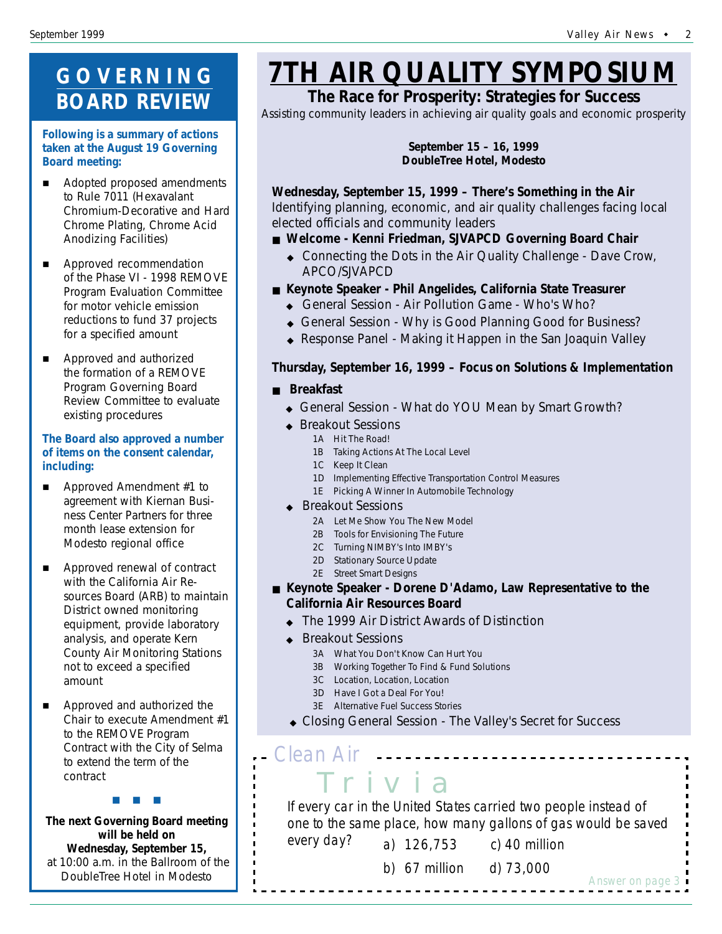## **GOVERNING BOARD REVIEW**

#### **Following is a summary of actions taken at the August 19 Governing Board meeting:**

- **E** Adopted proposed amendments to Rule 7011 (Hexavalant Chromium-Decorative and Hard Chrome Plating, Chrome Acid Anodizing Facilities)
- **E** Approved recommendation of the Phase VI - 1998 REMOVE Program Evaluation Committee for motor vehicle emission reductions to fund 37 projects for a specified amount
- **EXECUTE:** Approved and authorized the formation of a REMOVE Program Governing Board Review Committee to evaluate existing procedures

#### **The Board also approved a number of items on the consent calendar, including:**

- $\blacksquare$  Approved Amendment #1 to agreement with Kiernan Business Center Partners for three month lease extension for Modesto regional office
- **E** Approved renewal of contract with the California Air Resources Board (ARB) to maintain District owned monitoring equipment, provide laboratory analysis, and operate Kern County Air Monitoring Stations not to exceed a specified amount
- **E** Approved and authorized the Chair to execute Amendment #1 to the REMOVE Program Contract with the City of Selma to extend the term of the contract

#"#"#

**The next Governing Board meeting will be held on Wednesday, September 15,** at 10:00 a.m. in the Ballroom of the DoubleTree Hotel in Modesto

# **7TH AIR QUALITY SYMPOSIUM**

#### **The Race for Prosperity: Strategies for Success**

*Assisting community leaders in achieving air quality goals and economic prosperity*

**September 15 – 16, 1999 DoubleTree Hotel, Modesto**

**Wednesday, September 15, 1999 –** *There's Something in the Air* Identifying planning, economic, and air quality challenges facing local elected officials and community leaders

- Welcome Kenni Friedman, SJVAPCD Governing Board Chair
	- Connecting the Dots in the Air Quality Challenge Dave Crow, APCO/SJVAPCD
- Keynote Speaker Phil Angelides, California State Treasurer
	- ◆ General Session Air Pollution Game Who's Who?
	- ◆ General Session Why is Good Planning Good for Business?
	- Response Panel Making it Happen in the San Joaquin Valley

#### **Thursday, September 16, 1999 –** *Focus on Solutions & Implementation*

#### ■ **Breakfast**

- ◆ General Session What do YOU Mean by Smart Growth?
- ◆ Breakout Sessions
	- 1A Hit The Road!
		- 1B Taking Actions At The Local Level
		- 1C Keep It Clean
		- 1D Implementing Effective Transportation Control Measures
		- 1E Picking A Winner In Automobile Technology
- ◆ Breakout Sessions
	- 2A Let Me Show You The New Model
	- 2B Tools for Envisioning The Future
	- 2C Turning NIMBY's Into IMBY's
	- 2D Stationary Source Update
	- 2E Street Smart Designs
- Keynote Speaker Dorene D'Adamo, Law Representative to the **California Air Resources Board**
	- The 1999 Air District Awards of Distinction
	- **▲ Breakout Sessions** 
		- 3A What You Don't Know Can Hurt You
		- 3B Working Together To Find & Fund Solutions
		- 3C Location, Location, Location
		- 3D Have I Got a Deal For You!
		- 3E Alternative Fuel Success Stories
	- ! Closing General Session The Valley's Secret for Success

Tr iv ia *Clean Air*

If every car in the United States carried two people instead of one to the same place, how many gallons of gas would be saved every day? a) 126,753 c) 40 million

b) 67 million d) 73,000

*Answer on page 3*